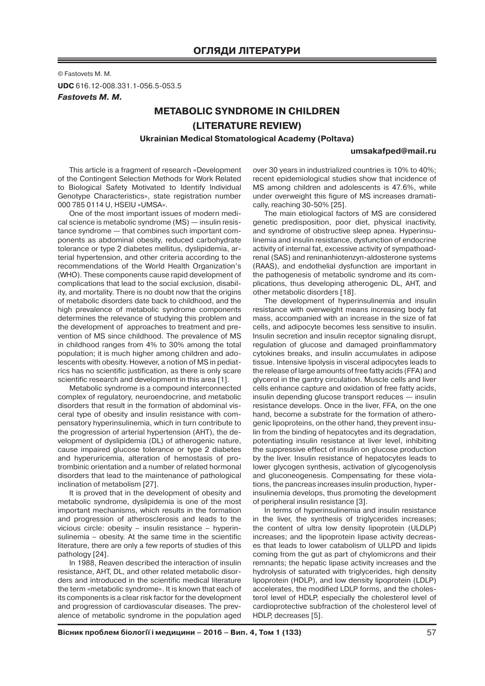© Fastovets M. M. **UDC** 616.12-008.331.1-056.5-053.5

## **Fastovets M. M.**

# **METABOLIC SYNDROME IN CHILDREN (LITERATURE REVIEW)**

**Ukrainian Medical Stomatological Academy (Poltava)**

**umsakafped@mail.ru**

This article is a fragment of research «Development of the Contingent Selection Methods for Work Related to Biological Safety Motivated to Identify Individual Genotype Characteristics», state registration number 000 785 0114 U, HSEIU «UMSA».

One of the most important issues of modern medical science is metabolic syndrome (MS) — insulin resistance syndrome — that combines such important components as abdominal obesity, reduced carbohydrate tolerance or type 2 diabetes mellitus, dyslipidemia, arterial hypertension, and other criteria according to the recommendations of the World Health Organization's (WHO). These components cause rapid development of complications that lead to the social exclusion, disability, and mortality. There is no doubt now that the origins of metabolic disorders date back to childhood, and the high prevalence of metabolic syndrome components determines the relevance of studying this problem and the development of approaches to treatment and prevention of MS since childhood. The prevalence of MS in childhood ranges from 4% to 30% among the total population; it is much higher among children and adolescents with obesity. However, a notion of MS in pediatrics has no scientific justification, as there is only scare scientific research and development in this area [1].

Metabolic syndrome is a compound interconnected complex of regulatory, neuroendocrine, and metabolic disorders that result in the formation of abdominal visceral type of obesity and insulin resistance with compensatory hyperinsulinemia, which in turn contribute to the progression of arterial hypertension (AHT), the development of dyslipidemia (DL) of atherogenic nature, cause impaired glucose tolerance or type 2 diabetes and hyperuricemia, alteration of hemostasis of protrombinic orientation and a number of related hormonal disorders that lead to the maintenance of pathological inclination of metabolism [27].

It is proved that in the development of obesity and metabolic syndrome, dyslipidemia is one of the most important mechanisms, which results in the formation and progression of atherosclerosis and leads to the vicious circle: obesity – insulin resistance – hyperinsulinemia – obesity. At the same time in the scientific literature, there are only a few reports of studies of this pathology [24].

In 1988, Reaven described the interaction of insulin resistance, AHT, DL, and other related metabolic disorders and introduced in the scientific medical literature the term «metabolic syndrome». It is known that each of its components is a clear risk factor for the development and progression of cardiovascular diseases. The prevalence of metabolic syndrome in the population aged

over 30 years in industrialized countries is 10% to 40%; recent epidemiological studies show that incidence of MS among children and adolescents is 47.6%, while under overweight this figure of MS increases dramatically, reaching 30-50% [25].

The main etiological factors of MS are considered genetic predisposition, poor diet, physical inactivity, and syndrome of obstructive sleep apnea. Hyperinsulinemia and insulin resistance, dysfunction of endocrine activity of internal fat, excessive activity of sympathoadrenal (SAS) and reninanhiotenzyn-aldosterone systems (RAAS), and endothelial dysfunction are important in the pathogenesis of metabolic syndrome and its complications, thus developing atherogenic DL, AHT, and other metabolic disorders [18].

The development of hyperinsulinemia and insulin resistance with overweight means increasing body fat mass, accompanied with an increase in the size of fat cells, and adipocyte becomes less sensitive to insulin. Insulin secretion and insulin receptor signaling disrupt, regulation of glucose and damaged proinflammatory cytokines breaks, and insulin accumulates in adipose tissue. Intensive lipolysis in visceral adipocytes leads to the release of large amounts of free fatty acids (FFA) and glycerol in the gantry circulation. Muscle cells and liver cells enhance capture and oxidation of free fatty acids, insulin depending glucose transport reduces — insulin resistance develops. Once in the liver, FFA, on the one hand, become a substrate for the formation of atherogenic lipoproteins, on the other hand, they prevent insulin from the binding of hepatocytes and its degradation, potentiating insulin resistance at liver level, inhibiting the suppressive effect of insulin on glucose production by the liver. Insulin resistance of hepatocytes leads to lower glycogen synthesis, activation of glycogenolysis and gluconeogenesis. Compensating for these violations, the pancreas increases insulin production, hyperinsulinemia develops, thus promoting the development of peripheral insulin resistance [3].

In terms of hyperinsulinemia and insulin resistance in the liver, the synthesis of triglycerides increases; the content of ultra low density lipoprotein (ULDLP) increases; and the lipoprotein lipase activity decreases that leads to lower catabolism of ULLPD and lipids coming from the gut as part of chylomicrons and their remnants; the hepatic lipase activity increases and the hydrolysis of saturated with triglycerides, high density lipoprotein (HDLP), and low density lipoprotein (LDLP) accelerates, the modified LDLP forms, and the cholesterol level of HDLP, especially the cholesterol level of cardioprotective subfraction of the cholesterol level of HDLP, decreases [5].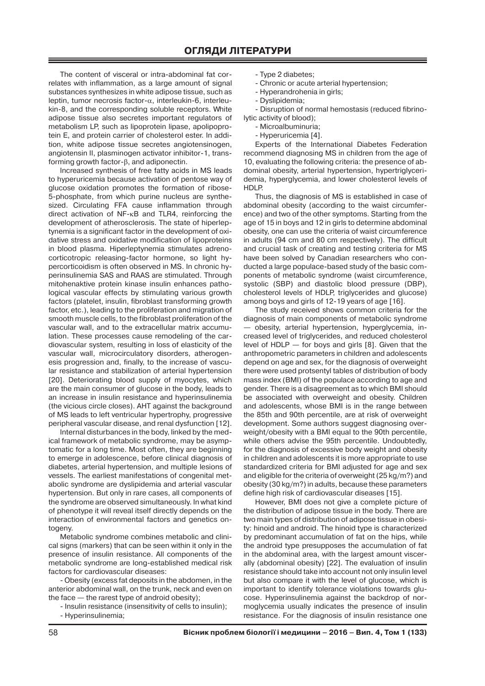The content of visceral or intra-abdominal fat correlates with inflammation, as a large amount of signal substances synthesizes in white adipose tissue, such as leptin, tumor necrosis factor-α, interleukin-6, interleukin-8, and the corresponding soluble receptors. White adipose tissue also secretes important regulators of metabolism LP, such as lipoprotein lipase, apolipoprotein E, and protein carrier of cholesterol ester. In addition, white adipose tissue secretes angiotensinogen, angiotensin II, plasminogen activator inhibitor-1, transforming growth factor-β, and adiponectin.

Increased synthesis of free fatty acids in MS leads to hyperuricemia because activation of pentose way of glucose oxidation promotes the formation of ribose-5-phosphate, from which purine nucleus are synthesized. Circulating FFA cause inflammation through direct activation of NF-κB and TLR4, reinforcing the development of atherosclerosis. The state of hiperleptynemia is a significant factor in the development of oxidative stress and oxidative modification of lipoproteins in blood plasma. Hiperleptynemia stimulates adrenocorticotropic releasing-factor hormone, so light hypercorticoidism is often observed in MS. In chronic hyperinsulinemia SAS and RAAS are stimulated. Through mitohenaktive protein kinase insulin enhances pathological vascular effects by stimulating various growth factors (platelet, insulin, fibroblast transforming growth factor, etc.), leading to the proliferation and migration of smooth muscle cells, to the fibroblast proliferation of the vascular wall, and to the extracellular matrix accumulation. These processes cause remodeling of the cardiovascular system, resulting in loss of elasticity of the vascular wall, microcirculatory disorders, atherogenesis progression and, finally, to the increase of vascular resistance and stabilization of arterial hypertension [20]. Deteriorating blood supply of myocytes, which are the main consumer of glucose in the body, leads to an increase in insulin resistance and hyperinsulinemia (the vicious circle closes). AHT against the background of MS leads to left ventricular hypertrophy, progressive peripheral vascular disease, and renal dysfunction [12].

Internal disturbances in the body, linked by the medical framework of metabolic syndrome, may be asymptomatic for a long time. Most often, they are beginning to emerge in adolescence, before clinical diagnosis of diabetes, arterial hypertension, and multiple lesions of vessels. The earliest manifestations of congenital metabolic syndrome are dyslipidemia and arterial vascular hypertension. But only in rare cases, all components of the syndrome are observed simultaneously. In what kind of phenotype it will reveal itself directly depends on the interaction of environmental factors and genetics ontogeny.

Metabolic syndrome combines metabolic and clinical signs (markers) that can be seen within it only in the presence of insulin resistance. All components of the metabolic syndrome are long-established medical risk factors for cardiovascular diseases:

- Obesity (excess fat deposits in the abdomen, in the anterior abdominal wall, on the trunk, neck and even on the face — the rarest type of android obesity);

- Insulin resistance (insensitivity of cells to insulin);
- Hyperinsulinemia;
- Type 2 diabetes;
- Chronic or acute arterial hypertension;
- Hyperandrohenia in girls;
- Dyslipidemia;

- Disruption of normal hemostasis (reduced fibrinolytic activity of blood);

- Microalbuminuria;
- Hyperuricemia [4].

Experts of the International Diabetes Federation recommend diagnosing MS in children from the age of 10, evaluating the following criteria: the presence of abdominal obesity, arterial hypertension, hypertriglyceridemia, hyperglycemia, and lower cholesterol levels of HDLP.

Thus, the diagnosis of MS is established in case of abdominal obesity (according to the waist circumference) and two of the other symptoms. Starting from the age of 15 in boys and 12 in girls to determine abdominal obesity, one can use the criteria of waist circumference in adults (94 cm and 80 cm respectively). The difficult and crucial task of creating and testing criteria for MS have been solved by Canadian researchers who conducted a large populace-based study of the basic components of metabolic syndrome (waist circumference, systolic (SBP) and diastolic blood pressure (DBP), cholesterol levels of HDLP, triglycerides and glucose) among boys and girls of 12-19 years of age [16].

The study received shows common criteria for the diagnosis of main components of metabolic syndrome — obesity, arterial hypertension, hyperglycemia, increased level of triglycerides, and reduced cholesterol level of HDLP — for boys and girls [8]. Given that the anthropometric parameters in children and adolescents depend on age and sex, for the diagnosis of overweight there were used protsentyl tables of distribution of body mass index (BMI) of the populace according to age and gender. There is a disagreement as to which BMI should be associated with overweight and obesity. Children and adolescents, whose BMI is in the range between the 85th and 90th percentile, are at risk of overweight development. Some authors suggest diagnosing overweight/obesity with a BMI equal to the 90th percentile, while others advise the 95th percentile. Undoubtedly, for the diagnosis of excessive body weight and obesity in children and adolescents it is more appropriate to use standardized criteria for BMI adjusted for age and sex and eligible for the criteria of overweight (25 kg/m?) and obesity (30 kg/m?) in adults, because these parameters define high risk of cardiovascular diseases [15].

However, BMI does not give a complete picture of the distribution of adipose tissue in the body. There are two main types of distribution of adipose tissue in obesity: hinoid and android. The hinoid type is characterized by predominant accumulation of fat on the hips, while the android type presupposes the accumulation of fat in the abdominal area, with the largest amount viscerally (abdominal obesity) [22]. The evaluation of insulin resistance should take into account not only insulin level but also compare it with the level of glucose, which is important to identify tolerance violations towards glucose. Hyperinsulinemia against the backdrop of normoglycemia usually indicates the presence of insulin resistance. For the diagnosis of insulin resistance one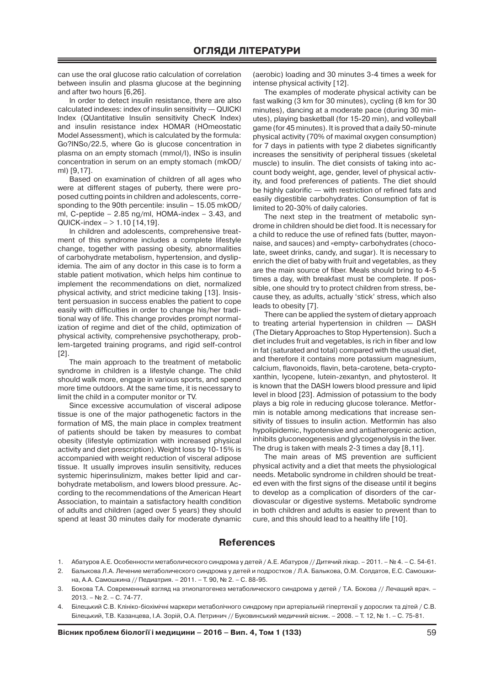can use the oral glucose ratio calculation of correlation between insulin and plasma glucose at the beginning and after two hours [6,26].

In order to detect insulin resistance, there are also calculated indexes: index of insulin sensitivity — QUICKI Index (QUantitative Insulin sensitivity ChecK Index) and insulin resistance index HOMAR (HOmeostatic Model Assessment), which is calculated by the formula: Go?INSo/22.5, where Go is glucose concentration in plasma on an empty stomach (mmol/l), INSo is insulin concentration in serum on an empty stomach (mkOD/ ml) [9,17].

Based on examination of children of all ages who were at different stages of puberty, there were proposed cutting points in children and adolescents, corresponding to the 90th percentile: insulin – 15.05 mkOD/ ml, C-peptide  $-$  2.85 ng/ml, HOMA-index  $-$  3.43, and QUICK-index – > 1.10 [14,19].

In children and adolescents, comprehensive treatment of this syndrome includes a complete lifestyle change, together with passing obesity, abnormalities of carbohydrate metabolism, hypertension, and dyslipidemia. The aim of any doctor in this case is to form a stable patient motivation, which helps him continue to implement the recommendations on diet, normalized physical activity, and strict medicine taking [13]. Insistent persuasion in success enables the patient to cope easily with difficulties in order to change his/her traditional way of life. This change provides prompt normalization of regime and diet of the child, optimization of physical activity, comprehensive psychotherapy, problem-targeted training programs, and rigid self-control [2].

The main approach to the treatment of metabolic syndrome in children is a lifestyle change. The child should walk more, engage in various sports, and spend more time outdoors. At the same time, it is necessary to limit the child in a computer monitor or TV.

Since excessive accumulation of visceral adipose tissue is one of the major pathogenetic factors in the formation of MS, the main place in complex treatment of patients should be taken by measures to combat obesity (lifestyle optimization with increased physical activity and diet prescription). Weight loss by 10-15% is accompanied with weight reduction of visceral adipose tissue. It usually improves insulin sensitivity, reduces systemic hiperinsulinizm, makes better lipid and carbohydrate metabolism, and lowers blood pressure. According to the recommendations of the American Heart Association, to maintain a satisfactory health condition of adults and children (aged over 5 years) they should spend at least 30 minutes daily for moderate dynamic (aerobic) loading and 30 minutes 3-4 times a week for intense physical activity [12].

The examples of moderate physical activity can be fast walking (3 km for 30 minutes), cycling (8 km for 30 minutes), dancing at a moderate pace (during 30 minutes), playing basketball (for 15-20 min), and volleyball game (for 45 minutes). It is proved that a daily 50-minute physical activity (70% of maximal oxygen consumption) for 7 days in patients with type 2 diabetes significantly increases the sensitivity of peripheral tissues (skeletal muscle) to insulin. The diet consists of taking into account body weight, age, gender, level of physical activity, and food preferences of patients. The diet should be highly calorific — with restriction of refined fats and easily digestible carbohydrates. Consumption of fat is limited to 20-30% of daily calories.

The next step in the treatment of metabolic syndrome in children should be diet food. It is necessary for a child to reduce the use of refined fats (butter, mayonnaise, and sauces) and «empty» carbohydrates (chocolate, sweet drinks, candy, and sugar). It is necessary to enrich the diet of baby with fruit and vegetables, as they are the main source of fiber. Meals should bring to 4-5 times a day, with breakfast must be complete. If possible, one should try to protect children from stress, because they, as adults, actually 'stick' stress, which also leads to obesity [7].

There can be applied the system of dietary approach to treating arterial hypertension in children — DASH (The Dietary Approaches to Stop Hypertension). Such a diet includes fruit and vegetables, is rich in fiber and low in fat (saturated and total) compared with the usual diet, and therefore it contains more potassium magnesium, calcium, flavonoids, flavin, beta-carotene, beta-cryptoxanthin, lycopene, lutein-zexantyn, and phytosterol. It is known that the DASH lowers blood pressure and lipid level in blood [23]. Admission of potassium to the body plays a big role in reducing glucose tolerance. Metformin is notable among medications that increase sensitivity of tissues to insulin action. Metformin has also hypolipidemic, hypotensive and antiatherogenic action, inhibits gluconeogenesis and glycogenolysis in the liver. The drug is taken with meals 2-3 times a day [8,11].

The main areas of MS prevention are sufficient physical activity and a diet that meets the physiological needs. Metabolic syndrome in children should be treated even with the first signs of the disease until it begins to develop as a complication of disorders of the cardiovascular or digestive systems. Metabolic syndrome in both children and adults is easier to prevent than to cure, and this should lead to a healthy life [10].

### **References**

- 1. Абатуров А.Е. Особенности метаболического синдрома у детей / А.Е. Абатуров // Дитячий лікар. 2011. № 4. С. 54-61.
- 2. Балыкова Л.А. Лечение метаболического синдрома у детей и подростков / Л.А. Балыкова, О.М. Солдатов, Е.С. Самошкина, А.А. Самошкина // Педиатрия. – 2011. – Т. 90, № 2. – С. 88-95.
- 3. Бокова Т.А. Современный взгляд на этиопатогенез метаболического синдрома у детей / Т.А. Бокова // Лечащий врач. 2013. – № 2. – С. 74-77.
- 4. Білецький С.В. Клініко-біохімічні маркери метаболічного синдрому при артеріальній гіпертензії у дорослих та дітей / С.В. Білецький, Т.В. Казанцева, І.А. Зорій, О.А. Петринич // Буковинський медичний вісник. – 2008. – Т. 12, № 1. – С. 75-81.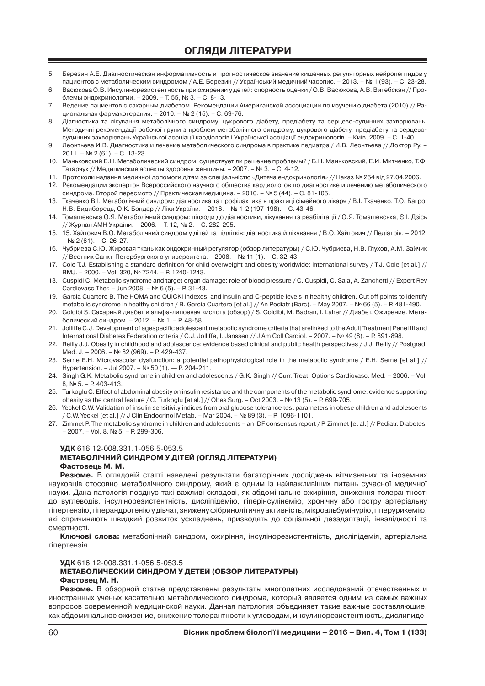- 5. Березин А.Е. Диагностическая информативность и прогностическое значение кишечных регуляторных нейропептидов у пациентов с метаболическим синдромом / А.Е. Березин // Український медичний часопис. – 2013. – № 1 (93). – С. 23-28.
- 6. Васюкова О.В. Инсулинорезистентность при ожирении у детей: спорность оценки / О.В. Васюкова, А.В. Витебская // Проблемы эндокринологии. – 2009. – Т. 55, № 3. – С. 8-13.
- 7. Ведение пациентов с сахарным диабетом. Рекомендации Американской ассоциации по изучению диабета (2010) // Рациональная фармакотерапия. – 2010. – № 2 (15). – С. 69-76.
- 8. Діагностика та лікування метаболічного синдрому, цукрового діабету, предіабету та серцево-судинних захворювань. Методичні рекомендації робочої групи з проблем метаболічного синдрому, цукрового діабету, предіабету та серцевосудинних захворювань Української асоціації кардіологів і Української асоціації ендокринологів. – Київ, 2009. – С. 1-40.
- 9. Леонтьева И.В. Диагностика и лечение метаболического синдрома в практике педиатра / И.В. Леонтьева // Доктор Ру. 2011. – № 2 (61). – С. 13-23.
- 10. Маньковский Б.Н. Метаболический синдром: существует ли решение проблемы? / Б.Н. Маньковский, Е.И. Митченко, Т.Ф. Татарчук // Медицинские аспекты здоровья женщины. – 2007. – № 3. – С. 4-12.
- 11. Протоколи надання медичної допомоги дітям за спеціальністю «Дитяча ендокринологія» // Наказ № 254 від 27.04.2006.
- 12. Рекомендации экспертов Всероссийского научного общества кардиологов по диагностике и лечению метаболического синдрома. Второй пересмотр // Практическая медицина. – 2010. – № 5 (44). – С. 81-105.
- 13. Ткаченко В.І. Метаболічний синдром: діагностика та профілактика в практиці сімейного лікаря / В.І. Ткаченко, Т.О. Багро, Н.В. Видиборець, О.К. Бондар // Ліки України. – 2016. – № 1-2 (197-198). – С. 43-46.
- 14. Томашевська О.Я. Метаболічний синдром: підходи до діагностики, лікування та реабілітації / О.Я. Томашевська, Є.І. Дзісь // Журнал АМН України. – 2006. – Т. 12, № 2. – С. 282-295.
- 15. 15. Хайтович В.О. Метаболічний синдром у дітей та підлітків: діагностика й лікування / В.О. Хайтович // Педіатрія. 2012. – № 2 (61). – С. 26-27.
- 16. Чубриева С.Ю. Жировая ткань как эндокринный регулятор (обзор литературы) / С.Ю. Чубриева, Н.В. Глухов, А.М. Зайчик // Вестник Санкт-Петербургского университета. – 2008. – № 11 (1). – С. 32-43.
- 17. Cole T.J. Establishing a standard definition for child overweight and obesity worldwide: international survey / T.J. Cole [et al.] // BMJ. – 2000. – Vol. 320, № 7244. – P. 1240-1243.
- 18. Cuspidi C. Metabolic syndrome and target organ damage: role of blood pressure / C. Cuspidi, С. Sala, А. Zanchetti // Expert Rev Cardiovasc Ther. – Jun 2008. – № 6 (5). – Р. 31-43.
- 19. Garcia Cuartero B. The HOMA and QUICKI indexes, and insulin and C-peptide levels in healthy children. Cut off points to identify metabolic syndrome in healthy children / B. Garcia Cuartero [et al.] // An Pediatr (Barc). – May 2007. – № 66 (5). – P. 481-490.
- 20. Goldibi S. Сахарный диабет и альфа-липоевая кислота (обзор) / S. Goldibi, M. Badran, I. Laher // Диабет. Ожирение. Метаболический синдром. – 2012. – № 1. – Р. 48-58.
- 21. Jolliffe C.J. Development of agespecific adolescent metabolic syndrome criteria that arelinked to the Adult Treatment Panel III and International Diabetes Federation criteria / C.J. Jolliffe, І. Janssen // J Am Coll Cardiol. – 2007. – № 49 (8). – Р. 891-898.
- 22. Reilly J.J. Obesity in childhood and adolescence: evidence based clinical and public health perspectives / J.J. Reilly // Postgrad. Med. J. – 2006. – № 82 (969). – Р. 429-437.
- 23. Serne E.H. Microvascular dysfunction: a potential pathophysiological role in the metabolic syndrome / E.H. Serne [et al.] // Hypertension. – Jul 2007. – № 50 (1). — Р. 204-211.
- 24. Singh G.K. Metabolic syndrome in children and adolescents / G.K. Singh // Curr. Treat. Options Cardiovasc. Med. 2006. Vol. 8, № 5. – P. 403-413.
- 25. Turkoglu C. Effect of abdominal obesity on insulin resistance and the components of the metabolic syndrome: evidence supporting obesity as the central feature / С. Turkoglu [et al.] // Obes Surg. – Oct 2003. – № 13 (5). – Р. 699-705.
- 26. Yeckel C.W. Validation of insulin sensitivity indices from oral glucose tolerance test parameters in obese children and adolescents / C.W. Yeckel [et al.] // J Clin Endocrinol Metab. – Mar 2004. – № 89 (3). – Р. 1096-1101.
- 27. Zimmet P. The metabolic syndrome in children and adolescents an IDF consensus report / P. Zimmet [et al.] // Pediatr. Diabetes. – 2007. – Vol. 8, № 5. – P. 299-306.

#### **УДК** 616.12-008.331.1-056.5-053.5 **МЕТАБОЛІЧНИЙ СИНДРОМ У ДІТЕЙ (ОГЛЯД ЛІТЕРАТУРИ) Фастовець М. М.**

**Резюме.** В оглядовій статті наведені результати багаторічних досліджень вітчизняних та іноземних науковців стосовно метаболічного синдрому, який є одним із найважливіших питань сучасної медичної науки. Дана патологія поєднує такі важливі складові, як абдомінальне ожиріння, зниження толерантності до вуглеводів, інсулінорезистентність, дисліпідемію, гіперінсулінемію, хронічну або гостру артеріальну гіпертензію, гіперандрогенію у дівчат, знижену фібринолітичну активність, мікроальбумінурію, гіперурикемію, які спричиняють швидкий розвиток ускладнень, призводять до соціальної дезадаптації, інвалідності та смертності.

**Ключові слова:** метаболічний синдром, ожиріння, інсулінорезистентність, дисліпідемія, артеріальна гіпертензія.

**УДК** 616.12-008.331.1-056.5-053.5 **МЕТАБОЛИЧЕСКИЙ СИНДРОМ У ДЕТЕЙ (ОБЗОР ЛИТЕРАТУРЫ) Фастовец М. Н.**

**Резюме.** В обзорной статье представлены результаты многолетних исследований отечественных и иностранных ученых касательно метаболического синдрома, который является одним из самых важных вопросов современной медицинской науки. Данная патология объединяет такие важные составляющие, как абдоминальное ожирение, снижение толерантности к углеводам, инсулинорезистентность, дислипиде